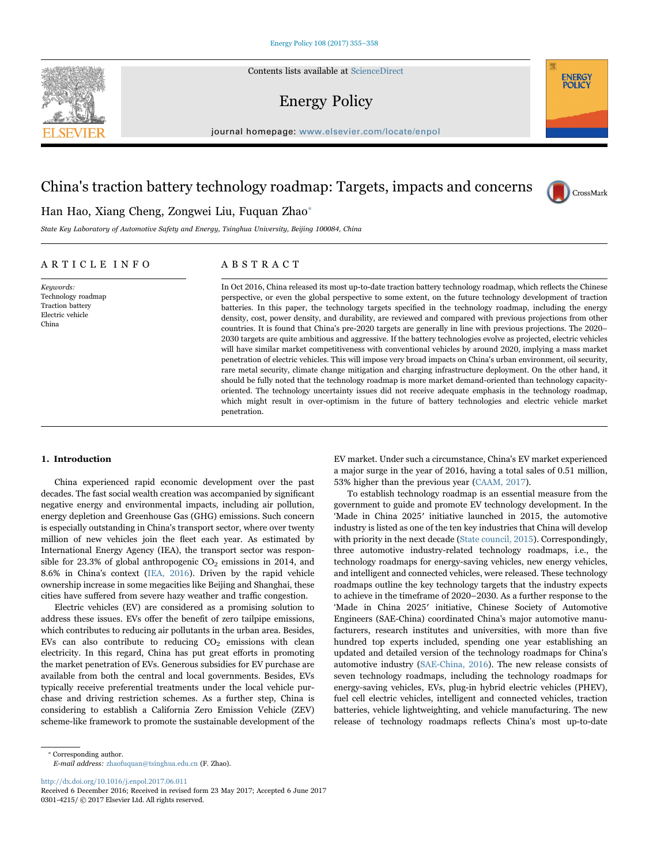Contents lists available at [ScienceDirect](http://www.sciencedirect.com/science/journal/03014215)

# Energy Policy

journal homepage: [www.elsevier.com/locate/enpol](http://www.elsevier.com/locate/enpol)

# China's traction battery technology roadmap: Targets, impacts and concerns



State Key Laboratory of Automotive Safety and Energy, Tsinghua University, Beijing 100084, China

# ARTICLE INFO

Keywords: Technology roadmap Traction battery Electric vehicle China

# ABSTRACT

In Oct 2016, China released its most up-to-date traction battery technology roadmap, which reflects the Chinese perspective, or even the global perspective to some extent, on the future technology development of traction batteries. In this paper, the technology targets specified in the technology roadmap, including the energy density, cost, power density, and durability, are reviewed and compared with previous projections from other countries. It is found that China's pre-2020 targets are generally in line with previous projections. The 2020– 2030 targets are quite ambitious and aggressive. If the battery technologies evolve as projected, electric vehicles will have similar market competitiveness with conventional vehicles by around 2020, implying a mass market penetration of electric vehicles. This will impose very broad impacts on China's urban environment, oil security, rare metal security, climate change mitigation and charging infrastructure deployment. On the other hand, it should be fully noted that the technology roadmap is more market demand-oriented than technology capacityoriented. The technology uncertainty issues did not receive adequate emphasis in the technology roadmap, which might result in over-optimism in the future of battery technologies and electric vehicle market penetration.

# 1. Introduction

China experienced rapid economic development over the past decades. The fast social wealth creation was accompanied by significant negative energy and environmental impacts, including air pollution, energy depletion and Greenhouse Gas (GHG) emissions. Such concern is especially outstanding in China's transport sector, where over twenty million of new vehicles join the fleet each year. As estimated by International Energy Agency (IEA), the transport sector was responsible for  $23.3\%$  of global anthropogenic  $CO<sub>2</sub>$  emissions in 2014, and 8.6% in China's context [\(IEA, 2016\)](#page-3-0). Driven by the rapid vehicle ownership increase in some megacities like Beijing and Shanghai, these cities have suffered from severe hazy weather and traffic congestion.

Electric vehicles (EV) are considered as a promising solution to address these issues. EVs offer the benefit of zero tailpipe emissions, which contributes to reducing air pollutants in the urban area. Besides, EVs can also contribute to reducing  $CO<sub>2</sub>$  emissions with clean electricity. In this regard, China has put great efforts in promoting the market penetration of EVs. Generous subsidies for EV purchase are available from both the central and local governments. Besides, EVs typically receive preferential treatments under the local vehicle purchase and driving restriction schemes. As a further step, China is considering to establish a California Zero Emission Vehicle (ZEV) scheme-like framework to promote the sustainable development of the

EV market. Under such a circumstance, China's EV market experienced a major surge in the year of 2016, having a total sales of 0.51 million, 53% higher than the previous year [\(CAAM, 2017](#page-3-1)).

To establish technology roadmap is an essential measure from the government to guide and promote EV technology development. In the 'Made in China 2025′ initiative launched in 2015, the automotive industry is listed as one of the ten key industries that China will develop with priority in the next decade [\(State council, 2015\)](#page-3-2). Correspondingly, three automotive industry-related technology roadmaps, i.e., the technology roadmaps for energy-saving vehicles, new energy vehicles, and intelligent and connected vehicles, were released. These technology roadmaps outline the key technology targets that the industry expects to achieve in the timeframe of 2020–2030. As a further response to the 'Made in China 2025′ initiative, Chinese Society of Automotive Engineers (SAE-China) coordinated China's major automotive manufacturers, research institutes and universities, with more than five hundred top experts included, spending one year establishing an updated and detailed version of the technology roadmaps for China's automotive industry ([SAE-China, 2016](#page-3-3)). The new release consists of seven technology roadmaps, including the technology roadmaps for energy-saving vehicles, EVs, plug-in hybrid electric vehicles (PHEV), fuel cell electric vehicles, intelligent and connected vehicles, traction batteries, vehicle lightweighting, and vehicle manufacturing. The new release of technology roadmaps reflects China's most up-to-date

<http://dx.doi.org/10.1016/j.enpol.2017.06.011>





 $\bigcup$  CrossMark

<span id="page-0-0"></span><sup>⁎</sup> Corresponding author. E-mail address: zhaofuquan@tsinghua.edu.cn (F. Zhao).

Received 6 December 2016; Received in revised form 23 May 2017; Accepted 6 June 2017 0301-4215/ © 2017 Elsevier Ltd. All rights reserved.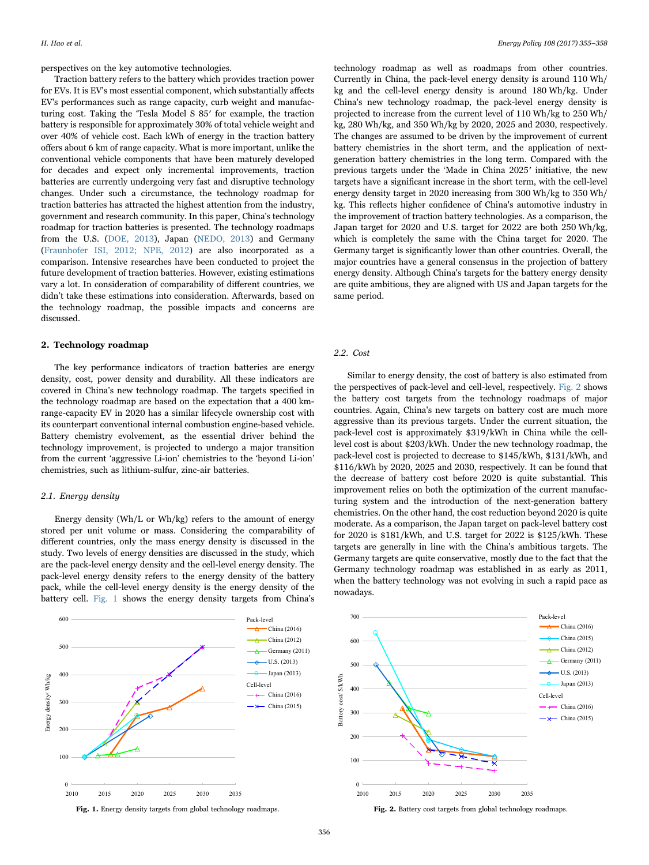perspectives on the key automotive technologies.

Traction battery refers to the battery which provides traction power for EVs. It is EV's most essential component, which substantially affects EV's performances such as range capacity, curb weight and manufacturing cost. Taking the 'Tesla Model S 85′ for example, the traction battery is responsible for approximately 30% of total vehicle weight and over 40% of vehicle cost. Each kWh of energy in the traction battery offers about 6 km of range capacity. What is more important, unlike the conventional vehicle components that have been maturely developed for decades and expect only incremental improvements, traction batteries are currently undergoing very fast and disruptive technology changes. Under such a circumstance, the technology roadmap for traction batteries has attracted the highest attention from the industry, government and research community. In this paper, China's technology roadmap for traction batteries is presented. The technology roadmaps from the U.S. [\(DOE, 2013](#page-3-4)), Japan [\(NEDO, 2013\)](#page-3-5) and Germany ([Fraunhofer ISI, 2012; NPE, 2012\)](#page-3-6) are also incorporated as a comparison. Intensive researches have been conducted to project the future development of traction batteries. However, existing estimations vary a lot. In consideration of comparability of different countries, we didn't take these estimations into consideration. Afterwards, based on the technology roadmap, the possible impacts and concerns are discussed.

#### 2. Technology roadmap

The key performance indicators of traction batteries are energy density, cost, power density and durability. All these indicators are covered in China's new technology roadmap. The targets specified in the technology roadmap are based on the expectation that a 400 kmrange-capacity EV in 2020 has a similar lifecycle ownership cost with its counterpart conventional internal combustion engine-based vehicle. Battery chemistry evolvement, as the essential driver behind the technology improvement, is projected to undergo a major transition from the current 'aggressive Li-ion' chemistries to the 'beyond Li-ion' chemistries, such as lithium-sulfur, zinc-air batteries.

### 2.1. Energy density

Energy density (Wh/L or Wh/kg) refers to the amount of energy stored per unit volume or mass. Considering the comparability of different countries, only the mass energy density is discussed in the study. Two levels of energy densities are discussed in the study, which are the pack-level energy density and the cell-level energy density. The pack-level energy density refers to the energy density of the battery pack, while the cell-level energy density is the energy density of the battery cell. [Fig. 1](#page-1-0) shows the energy density targets from China's

<span id="page-1-0"></span>



technology roadmap as well as roadmaps from other countries. Currently in China, the pack-level energy density is around 110 Wh/ kg and the cell-level energy density is around 180 Wh/kg. Under China's new technology roadmap, the pack-level energy density is projected to increase from the current level of 110 Wh/kg to 250 Wh/ kg, 280 Wh/kg, and 350 Wh/kg by 2020, 2025 and 2030, respectively. The changes are assumed to be driven by the improvement of current battery chemistries in the short term, and the application of nextgeneration battery chemistries in the long term. Compared with the previous targets under the 'Made in China 2025′ initiative, the new targets have a significant increase in the short term, with the cell-level energy density target in 2020 increasing from 300 Wh/kg to 350 Wh/ kg. This reflects higher confidence of China's automotive industry in the improvement of traction battery technologies. As a comparison, the Japan target for 2020 and U.S. target for 2022 are both 250 Wh/kg, which is completely the same with the China target for 2020. The Germany target is significantly lower than other countries. Overall, the major countries have a general consensus in the projection of battery energy density. Although China's targets for the battery energy density are quite ambitious, they are aligned with US and Japan targets for the same period.

### 2.2. Cost

Similar to energy density, the cost of battery is also estimated from the perspectives of pack-level and cell-level, respectively. [Fig. 2](#page-1-1) shows the battery cost targets from the technology roadmaps of major countries. Again, China's new targets on battery cost are much more aggressive than its previous targets. Under the current situation, the pack-level cost is approximately \$319/kWh in China while the celllevel cost is about \$203/kWh. Under the new technology roadmap, the pack-level cost is projected to decrease to \$145/kWh, \$131/kWh, and \$116/kWh by 2020, 2025 and 2030, respectively. It can be found that the decrease of battery cost before 2020 is quite substantial. This improvement relies on both the optimization of the current manufacturing system and the introduction of the next-generation battery chemistries. On the other hand, the cost reduction beyond 2020 is quite moderate. As a comparison, the Japan target on pack-level battery cost for 2020 is \$181/kWh, and U.S. target for 2022 is \$125/kWh. These targets are generally in line with the China's ambitious targets. The Germany targets are quite conservative, mostly due to the fact that the Germany technology roadmap was established in as early as 2011, when the battery technology was not evolving in such a rapid pace as nowadays.

<span id="page-1-1"></span>

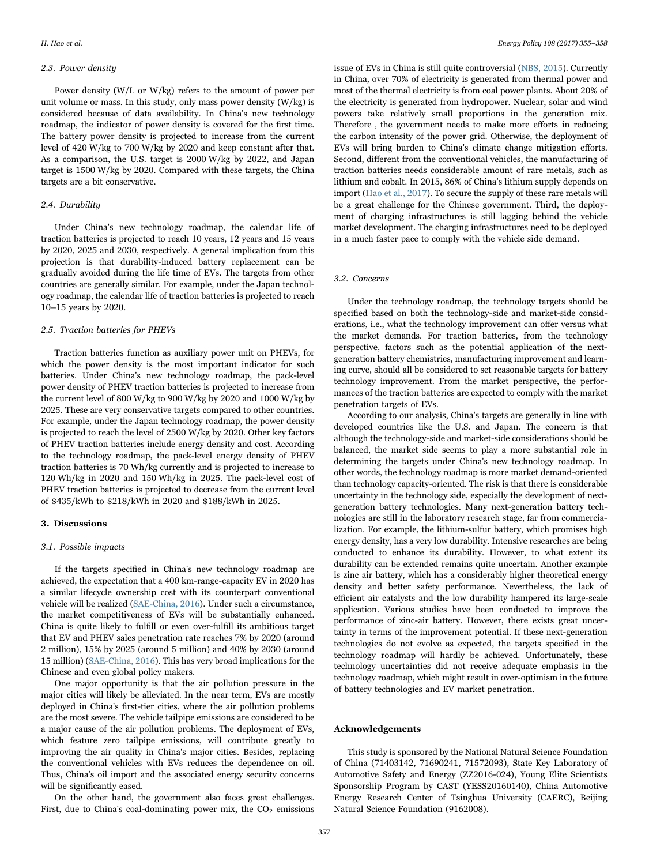### 2.3. Power density

Power density (W/L or W/kg) refers to the amount of power per unit volume or mass. In this study, only mass power density (W/kg) is considered because of data availability. In China's new technology roadmap, the indicator of power density is covered for the first time. The battery power density is projected to increase from the current level of 420 W/kg to 700 W/kg by 2020 and keep constant after that. As a comparison, the U.S. target is 2000 W/kg by 2022, and Japan target is 1500 W/kg by 2020. Compared with these targets, the China targets are a bit conservative.

## 2.4. Durability

Under China's new technology roadmap, the calendar life of traction batteries is projected to reach 10 years, 12 years and 15 years by 2020, 2025 and 2030, respectively. A general implication from this projection is that durability-induced battery replacement can be gradually avoided during the life time of EVs. The targets from other countries are generally similar. For example, under the Japan technology roadmap, the calendar life of traction batteries is projected to reach 10–15 years by 2020.

### 2.5. Traction batteries for PHEVs

Traction batteries function as auxiliary power unit on PHEVs, for which the power density is the most important indicator for such batteries. Under China's new technology roadmap, the pack-level power density of PHEV traction batteries is projected to increase from the current level of 800 W/kg to 900 W/kg by 2020 and 1000 W/kg by 2025. These are very conservative targets compared to other countries. For example, under the Japan technology roadmap, the power density is projected to reach the level of 2500 W/kg by 2020. Other key factors of PHEV traction batteries include energy density and cost. According to the technology roadmap, the pack-level energy density of PHEV traction batteries is 70 Wh/kg currently and is projected to increase to 120 Wh/kg in 2020 and 150 Wh/kg in 2025. The pack-level cost of PHEV traction batteries is projected to decrease from the current level of \$435/kWh to \$218/kWh in 2020 and \$188/kWh in 2025.

#### 3. Discussions

#### 3.1. Possible impacts

If the targets specified in China's new technology roadmap are achieved, the expectation that a 400 km-range-capacity EV in 2020 has a similar lifecycle ownership cost with its counterpart conventional vehicle will be realized [\(SAE-China, 2016](#page-3-3)). Under such a circumstance, the market competitiveness of EVs will be substantially enhanced. China is quite likely to fulfill or even over-fulfill its ambitious target that EV and PHEV sales penetration rate reaches 7% by 2020 (around 2 million), 15% by 2025 (around 5 million) and 40% by 2030 (around 15 million) ([SAE-China, 2016](#page-3-3)). This has very broad implications for the Chinese and even global policy makers.

One major opportunity is that the air pollution pressure in the major cities will likely be alleviated. In the near term, EVs are mostly deployed in China's first-tier cities, where the air pollution problems are the most severe. The vehicle tailpipe emissions are considered to be a major cause of the air pollution problems. The deployment of EVs, which feature zero tailpipe emissions, will contribute greatly to improving the air quality in China's major cities. Besides, replacing the conventional vehicles with EVs reduces the dependence on oil. Thus, China's oil import and the associated energy security concerns will be significantly eased.

On the other hand, the government also faces great challenges. First, due to China's coal-dominating power mix, the  $CO<sub>2</sub>$  emissions issue of EVs in China is still quite controversial [\(NBS, 2015\)](#page-3-7). Currently in China, over 70% of electricity is generated from thermal power and most of the thermal electricity is from coal power plants. About 20% of the electricity is generated from hydropower. Nuclear, solar and wind powers take relatively small proportions in the generation mix. Therefore, the government needs to make more efforts in reducing the carbon intensity of the power grid. Otherwise, the deployment of EVs will bring burden to China's climate change mitigation efforts. Second, different from the conventional vehicles, the manufacturing of traction batteries needs considerable amount of rare metals, such as lithium and cobalt. In 2015, 86% of China's lithium supply depends on import ([Hao et al., 2017\)](#page-3-8). To secure the supply of these rare metals will be a great challenge for the Chinese government. Third, the deployment of charging infrastructures is still lagging behind the vehicle market development. The charging infrastructures need to be deployed in a much faster pace to comply with the vehicle side demand.

#### 3.2. Concerns

Under the technology roadmap, the technology targets should be specified based on both the technology-side and market-side considerations, i.e., what the technology improvement can offer versus what the market demands. For traction batteries, from the technology perspective, factors such as the potential application of the nextgeneration battery chemistries, manufacturing improvement and learning curve, should all be considered to set reasonable targets for battery technology improvement. From the market perspective, the performances of the traction batteries are expected to comply with the market penetration targets of EVs.

According to our analysis, China's targets are generally in line with developed countries like the U.S. and Japan. The concern is that although the technology-side and market-side considerations should be balanced, the market side seems to play a more substantial role in determining the targets under China's new technology roadmap. In other words, the technology roadmap is more market demand-oriented than technology capacity-oriented. The risk is that there is considerable uncertainty in the technology side, especially the development of nextgeneration battery technologies. Many next-generation battery technologies are still in the laboratory research stage, far from commercialization. For example, the lithium-sulfur battery, which promises high energy density, has a very low durability. Intensive researches are being conducted to enhance its durability. However, to what extent its durability can be extended remains quite uncertain. Another example is zinc air battery, which has a considerably higher theoretical energy density and better safety performance. Nevertheless, the lack of efficient air catalysts and the low durability hampered its large-scale application. Various studies have been conducted to improve the performance of zinc-air battery. However, there exists great uncertainty in terms of the improvement potential. If these next-generation technologies do not evolve as expected, the targets specified in the technology roadmap will hardly be achieved. Unfortunately, these technology uncertainties did not receive adequate emphasis in the technology roadmap, which might result in over-optimism in the future of battery technologies and EV market penetration.

# Acknowledgements

This study is sponsored by the National Natural Science Foundation of China (71403142, 71690241, 71572093), State Key Laboratory of Automotive Safety and Energy (ZZ2016-024), Young Elite Scientists Sponsorship Program by CAST (YESS20160140), China Automotive Energy Research Center of Tsinghua University (CAERC), Beijing Natural Science Foundation (9162008).